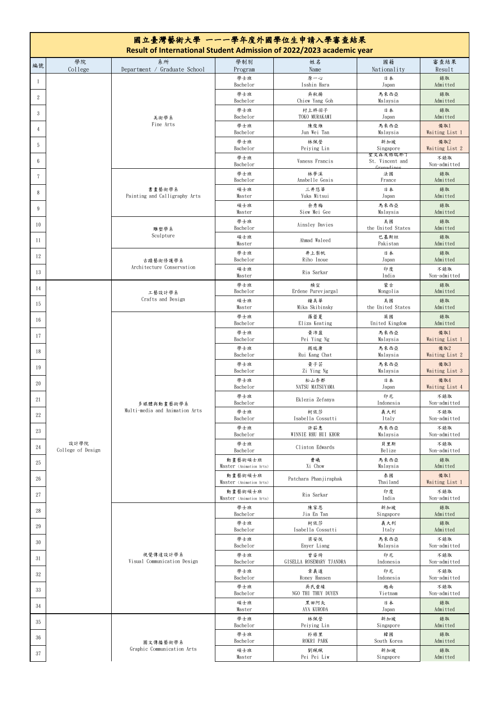| 國立臺灣藝術大學 一一一學年度外國學位生申請入學審查結果<br>Result of International Student Admission of 2022/2023 academic year |                   |                                              |                                    |                                  |                                          |                       |  |  |  |
|------------------------------------------------------------------------------------------------------|-------------------|----------------------------------------------|------------------------------------|----------------------------------|------------------------------------------|-----------------------|--|--|--|
| 編號                                                                                                   | 學院<br>College     | 系所<br>Department / Graduate School           | 學制別<br>Program                     | 姓名<br>Name                       | 國籍<br>Nationality                        | 審查結果<br>Result        |  |  |  |
|                                                                                                      |                   | 美術學系<br>Fine Arts                            | 學士班<br>Bachelor                    | 原一心<br>Isshin Hara               | 日本<br>Japan                              | 錄取<br>Admitted        |  |  |  |
| $\boldsymbol{2}$                                                                                     |                   |                                              | 學士班<br>Bachelor                    | 吳秋揚<br>Chiew Yang Goh            | 馬來西亞<br>Malaysia                         | 錄取<br>Admitted        |  |  |  |
| 3                                                                                                    |                   |                                              | 學士班                                | 村上柊羽子                            | 日本                                       | 錄取                    |  |  |  |
| $\overline{4}$                                                                                       |                   |                                              | Bachelor<br>學士班                    | TOKO MURAKAMI<br>陳俊維             | Japan<br>馬來西亞                            | Admitted<br>備取1       |  |  |  |
| 5                                                                                                    |                   |                                              | Bachelor<br>學士班                    | Jun Wei Tan<br>林佩瑩               | Malaysia<br>新加坡                          | Waiting List 1<br>備取2 |  |  |  |
| 6                                                                                                    |                   |                                              | Bachelor<br>學士班                    | Peiying Lin<br>Vaness Francis    | Singapore<br>聖文森及格瑞那丁<br>St. Vincent and | Waiting List 2<br>不錄取 |  |  |  |
| 7                                                                                                    |                   | 書畫藝術學系<br>Painting and Calligraphy Arts      | Bachelor<br>學士班                    | 林夢溪                              | Cronadinos<br>法國                         | Non-admitted<br>錄取    |  |  |  |
|                                                                                                      |                   |                                              | Bachelor<br>碩士班                    | Anabelle Geais<br>三井悠華           | France<br>日本                             | Admitted<br>錄取        |  |  |  |
| 8                                                                                                    |                   |                                              | Master<br>碩士班                      | Yuka Mitsui<br>余秀梅               | Japan<br>馬來西亞                            | Admitted<br>錄取        |  |  |  |
| 9                                                                                                    |                   |                                              | Master<br>學士班                      | Siew Mei Gee                     | Malaysia<br>美國                           | Admitted<br>錄取        |  |  |  |
| 10                                                                                                   |                   | 雕塑學系<br>Sculpture                            | Bachelor<br>碩士班                    | Ainsley Davies                   | the United States                        | Admitted              |  |  |  |
| <sup>11</sup>                                                                                        |                   |                                              | Master                             | Ahmad Waleed                     | 巴基斯坦<br>Pakistan                         | 錄取<br>Admitted        |  |  |  |
| 12                                                                                                   |                   | 古蹟藝術修護學系                                     | 學士班<br>Bachelor                    | 井上梨帆<br>Riho Inoue               | 日本<br>Japan                              | 錄取<br>Admitted        |  |  |  |
| 13                                                                                                   |                   | Architecture Conservation                    | 碩士班<br>Master                      | Ria Sarkar                       | 印度<br>India                              | 不錄取<br>Non-admitted   |  |  |  |
| -14                                                                                                  |                   | 工藝設計學系                                       | 學士班<br>Bachelor                    | 楨宣<br>Erdene Purevjargal         | 蒙古<br>Mongolia                           | 錄取<br>Admitted        |  |  |  |
| 15                                                                                                   |                   | Crafts and Design                            | 碩士班<br>Master                      | 鐘美華<br>Mika Skibinsky            | 美國<br>the United States                  | 錄取<br>Admitted        |  |  |  |
| 16                                                                                                   |                   | 多媒體與動畫藝術學系<br>Multi-media and Animation Arts | 學士班<br>Bachelor                    | 羅蕾夏<br>Eliza Keating             | 英國<br>United Kingdom                     | 錄取<br>Admitted        |  |  |  |
| 17                                                                                                   |                   |                                              | 學士班<br>Bachelor                    | 黄沛盈<br>Pei Ying Ng               | 馬來西亞<br>Malaysia                         | 備取1<br>Waiting List 1 |  |  |  |
| 18                                                                                                   |                   |                                              | 學士班<br>Bachelor                    | 揭瑞康<br>Rui Kang Chat             | 馬來西亞<br>Malaysia                         | 備取2<br>Waiting List 2 |  |  |  |
| 19                                                                                                   |                   |                                              | 學士班<br>Bachelor                    | 黄子芸<br>Zi Ying Ng                | 馬來西亞<br>Malaysia                         | 備取3<br>Waiting List 3 |  |  |  |
| 20                                                                                                   |                   |                                              | 學士班<br>Bachelor                    | 松山奈都<br>NATSU MATSUYAMA          | 日本<br>Japan                              | 備取4<br>Waiting List 4 |  |  |  |
| 21                                                                                                   |                   |                                              | 學士班<br>Bachelor                    | Eklezia Zefanya                  | 印尼<br>Indonesia                          | 不錄取<br>Non-admitted   |  |  |  |
| 22                                                                                                   |                   |                                              | 學士班<br>Bachelor                    | 柯依莎<br>Isabella Cossutti         | 義大利                                      | 不錄取<br>Non-admitted   |  |  |  |
| 23                                                                                                   |                   |                                              | 學士班                                | 許茹惠<br>WINNIE RHU HUI KHOR       | Italy<br>馬來西亞                            | 不錄取                   |  |  |  |
| 24                                                                                                   | 設計學院              |                                              | Bachelor<br>學士班                    | Clinton Edwards                  | Malaysia<br>貝里斯                          | Non-admitted<br>不錄取   |  |  |  |
| 25                                                                                                   | College of Design |                                              | Bachelor<br>動畫藝術碩士班                | 曹曦                               | Belize<br>馬來西亞                           | Non-admitted<br>錄取    |  |  |  |
| 26                                                                                                   |                   |                                              | Master (Animation Arts)<br>動畫藝術碩士班 | Xi Chow<br>Patchara Phanjiraphak | Malaysia<br>泰國                           | Admitted<br>備取1       |  |  |  |
| 27                                                                                                   |                   |                                              | Master (Animation Arts)<br>動畫藝術碩士班 | Ria Sarkar                       | Thailand<br>印度                           | Waiting List 1<br>不錄取 |  |  |  |
| 28                                                                                                   |                   | 視覺傳達設計學系<br>Visual Communication Design      | Master (Animation Arts)<br>學士班     | 陳家恩                              | India<br>新加坡                             | Non-admitted<br>錄取    |  |  |  |
|                                                                                                      |                   |                                              | Bachelor<br>學士班                    | Jia En Tan<br>柯依莎                | Singapore<br>義大利                         | Admitted<br>錄取        |  |  |  |
| 29                                                                                                   |                   |                                              | Bachelor<br>學士班                    | Isabella Cossutti<br>梁安悦         | Italy<br>馬來西亞                            | Admitted<br>不錄取       |  |  |  |
| 30                                                                                                   |                   |                                              | Bachelor<br>學士班                    | Enyer Liang<br>曾姿绮               | Malaysia<br>印尼                           | Non-admitted<br>不錄取   |  |  |  |
| 31                                                                                                   |                   |                                              | Bachelor<br>學士班                    | GISELLA ROSEMARY TJANDRA<br>章義道  | Indonesia<br>印尼                          | Non-admitted<br>不錄取   |  |  |  |
| $32\,$                                                                                               |                   |                                              | Bachelor                           | Roney Hansen                     | Indonesia                                | Non-admitted          |  |  |  |
| 33                                                                                                   |                   |                                              | 學士班<br>Bachelor                    | 吳氏垂緣<br>NGO THI THUY DUYEN       | 越南<br>Vietnam                            | 不錄取<br>Non-admitted   |  |  |  |
| 34                                                                                                   |                   |                                              | 碩士班<br>Master                      | 黑田阿矢<br>AYA KURODA               | 日本<br>Japan                              | 錄取<br>Admitted        |  |  |  |
| 35                                                                                                   |                   |                                              | 學士班<br>Bachelor                    | 林佩瑩<br>Peiying Lin               | 新加坡<br>Singapore                         | 錄取<br>Admitted        |  |  |  |
| 36                                                                                                   |                   | 圖文傳播藝術學系<br>Graphic Communication Arts       | 學士班<br>Bachelor                    | 朴祿里<br>ROKRI PARK                | 韓國<br>South Korea                        | 錄取<br>Admitted        |  |  |  |
| 37                                                                                                   |                   |                                              | 碩士班<br>Master                      | 劉珮珮<br>Pei Pei Liw               | 新加坡<br>Singapore                         | 錄取<br>Admitted        |  |  |  |